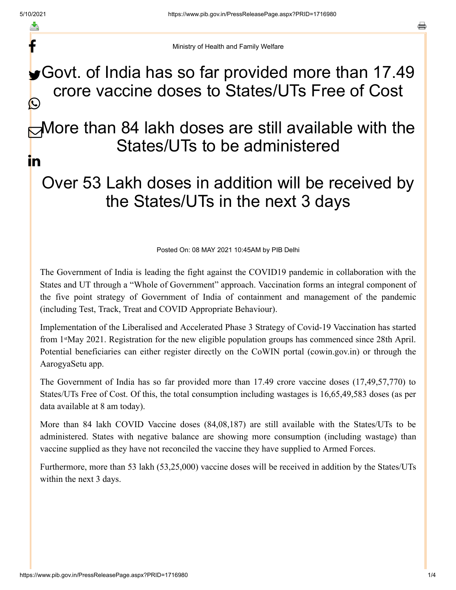f

a

Ministry of Health and Family Welfare

## Govt. of India has so far provided more than 17.49 crore vaccine doses to States/UTs Free of Cost C

### More than 84 lakh doses are still available with the States/UTs to be administered in

# Over 53 Lakh doses in addition will be received by the States/UTs in the next 3 days

Posted On: 08 MAY 2021 10:45AM by PIB Delhi

The Government of India is leading the fight against the COVID19 pandemic in collaboration with the States and UT through a "Whole of Government" approach. Vaccination forms an integral component of the five point strategy of Government of India of containment and management of the pandemic (including Test, Track, Treat and COVID Appropriate Behaviour).

Implementation of the Liberalised and Accelerated Phase 3 Strategy of Covid-19 Vaccination has started from 1<sup>st</sup>May 2021. Registration for the new eligible population groups has commenced since 28th April. Potential beneficiaries can either register directly on the CoWIN portal (cowin.gov.in) or through the AarogyaSetu app.

The Government of India has so far provided more than 17.49 crore vaccine doses (17,49,57,770) to States/UTs Free of Cost. Of this, the total consumption including wastages is 16,65,49,583 doses (as per data available at 8 am today).

More than 84 lakh COVID Vaccine doses (84,08,187) are still available with the States/UTs to be administered. States with negative balance are showing more consumption (including wastage) than vaccine supplied as they have not reconciled the vaccine they have supplied to Armed Forces.

Furthermore, more than 53 lakh (53,25,000) vaccine doses will be received in addition by the States/UTs within the next 3 days.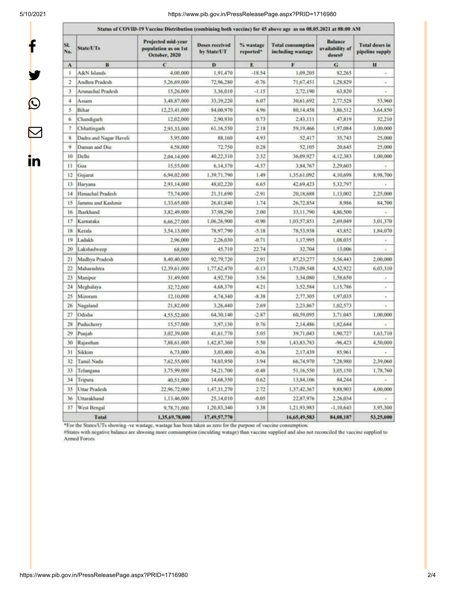f

y.

 $\bm{\mathcal{Q}}$ 

 $\bm{\nabla}$ 

in

#### 5/10/2021 https://www.pib.gov.in/PressReleasePage.aspx?PRID=1716980

|                          | Status of COVID-19 Vaccine Distribution (combining both vaccine) for 45 above age as on 08.05.2021 at 08:00 AM |                                                             |                                      |                        |                                               |                                             |                                          |  |
|--------------------------|----------------------------------------------------------------------------------------------------------------|-------------------------------------------------------------|--------------------------------------|------------------------|-----------------------------------------------|---------------------------------------------|------------------------------------------|--|
| SI.<br>No.               | <b>State/UTs</b>                                                                                               | Projected mid-year<br>population as on 1st<br>October, 2020 | <b>Doses received</b><br>by State/UT | % wastage<br>reported* | <b>Total consumption</b><br>including wastage | <b>Balance</b><br>availability of<br>doses# | <b>Total doses in</b><br>pipeline supply |  |
| ۸                        | B                                                                                                              | $\mathbf c$                                                 | D                                    | E                      | F                                             | G                                           | $\bf{H}$                                 |  |
| 1                        | A&N Islands                                                                                                    | 4,00,000                                                    | 1,91,470                             | $-18.54$               | 1.09.205                                      | 82.265                                      | ä                                        |  |
| $\overline{\mathbf{r}}$  | Andhra Pradesh                                                                                                 | 5,26,69,000                                                 | 72.96.280                            | $-0.76$                | 71,67,451                                     | 1,28,829                                    |                                          |  |
| 3                        | Arunachal Pradesh                                                                                              | 15,26,000                                                   | 3,36,010                             | $-1.15$                | 2,72,190                                      | 63,820                                      |                                          |  |
| 4                        | Assam                                                                                                          | 3,48,87,000                                                 | 33,39,220                            | 6.07                   | 30,61,692                                     | 2,77,528                                    | 53,960                                   |  |
| 5                        | Bihar                                                                                                          | 12,23,41,000                                                | 84,00,970                            | 4.96                   | 80,14,458                                     | 3,86,512                                    | 3.64.850                                 |  |
| 6                        | Chandigarh                                                                                                     | 12,02,000                                                   | 2,90,930                             | 0.73                   | 2,43,111                                      | 47,819                                      | 32,210                                   |  |
| $\overline{\phantom{a}}$ | Chhattisgarh                                                                                                   | 2.93.33.000                                                 | 61.16.550                            | 2.18                   | 59,19,466                                     | 1,97,084                                    | 3,00,000                                 |  |
| 8                        | Dadra and Nagar Haveli                                                                                         | 5,95,000                                                    | 88,160                               | 4.93                   | 52,417                                        | 35,743                                      | 25,000                                   |  |
| 9                        | Daman and Diu                                                                                                  | 4,58,000                                                    | 72,750                               | 0.28                   | 52,105                                        | 20,645                                      | 25,000                                   |  |
| 10                       | Delhi                                                                                                          | 2,04,14,000                                                 | 40,22,310                            | 2.32                   | 36,09,927                                     | 4,12,383                                    | 1,00,000                                 |  |
| П                        | Goa                                                                                                            | 15,55,000                                                   | 6,14,370                             | $-4.37$                | 3,84,767                                      | 2,29,603                                    |                                          |  |
| 12                       | Gujarat                                                                                                        | 6,94,02,000                                                 | 1,39,71,790                          | 1.49                   | 1,35,61,092                                   | 4,10,698                                    | 8,98,700                                 |  |
| 13                       | Haryana                                                                                                        | 2,93,14,000                                                 | 48,02,220                            | 6.65                   | 42,69,423                                     | 5,32,797                                    |                                          |  |
| 14                       | Himachal Pradesh                                                                                               | 73,74,000                                                   | 21,31,690                            | $-2.91$                | 20,18,688                                     | 1,13,002                                    | 2,25,000                                 |  |
| 15                       | Jammu and Kashmir                                                                                              | 1,33,65,000                                                 | 26,81,840                            | 1.74                   | 26.72.854                                     | 8,986                                       | 84,700                                   |  |
| 16                       | Jharkhand                                                                                                      | 3,82,49,000                                                 | 37,98,290                            | 2.00                   | 33,11,790                                     | 4,86,500                                    |                                          |  |
| 17                       | Karnataka                                                                                                      | 6,66,27,000                                                 | 1,06,26,900                          | $-0.90$                | 1,03,57,851                                   | 2,69,049                                    | 3,01,370                                 |  |
| 18                       | Kerala                                                                                                         | 3,54,13,000                                                 | 78,97,790                            | $-5.18$                | 78,53,938                                     | 43,852                                      | 1,84,070                                 |  |
| 19                       | Ladakh                                                                                                         | 2,96,000                                                    | 2,26,030                             | $-0.71$                | 1,17,995                                      | 1,08,035                                    |                                          |  |
| 20                       | Lakshadweep                                                                                                    | 68,000                                                      | 45,710                               | 22.74                  | 32,704                                        | 13,006                                      |                                          |  |
| 21                       | Madhya Pradesh                                                                                                 | 8,40,40,000                                                 | 92,79,720                            | 2.91                   | 87,23,277                                     | 5,56,443                                    | 2,00,000                                 |  |
| 22                       | Maharashtra                                                                                                    | 12,39,61,000                                                | 1,77,62,470                          | $-0.13$                | 1,73,09,548                                   | 4,52,922                                    | 6,03,310                                 |  |
| 23                       | Manipur                                                                                                        | 31,49,000                                                   | 4,92,730                             | 3.56                   | 3,34,080                                      | 1,58,650                                    | $\omega$                                 |  |
| 24                       | Meghalaya                                                                                                      | 32,72,000                                                   | 4,68,370                             | 4.21                   | 3.52.584                                      | 1,15,786                                    | ÷                                        |  |
| 25                       | Mizoram                                                                                                        | 12,10,000                                                   | 4,74,340                             | $-8.38$                | 2,77,305                                      | 1,97,035                                    | $\scriptstyle\star$                      |  |
| 26                       | Nagaland                                                                                                       | 21,82,000                                                   | 3,26,440                             | 2.69                   | 2,23,867                                      | 1,02,573                                    |                                          |  |
| 27                       | Odisha                                                                                                         | 4,55,52,000                                                 | 64,30,140                            | $-2.87$                | 60,59,095                                     | 3,71,045                                    | 1,00,000                                 |  |
| 28                       | Puducherry                                                                                                     | 15,57,000                                                   | 3,97,130                             | 0.76                   | 2,14,486                                      | 1,82,644                                    |                                          |  |
| 29                       | Punjab                                                                                                         | 3,02,39,000                                                 | 41,61,770                            | 5.05                   | 39,71,043                                     | 1,90,727                                    | 1,63,710                                 |  |
| 30                       | Rajasthan                                                                                                      | 7,88,61,000                                                 | 1,42,87,360                          | 5.50                   | 1,43,83,783                                   | $-96,423$                                   | 4,50,000                                 |  |
| 31                       | Sikkim                                                                                                         | 6,73,000                                                    | 3,03,400                             | $-0.36$                | 2,17,439                                      | 85,961                                      |                                          |  |
| 32                       | Tamil Nadu                                                                                                     | 7,62,55,000                                                 | 74,03,950                            | 3.94                   | 66,74,970                                     | 7,28,980                                    | 2,39,060                                 |  |
| 33                       | Telangana                                                                                                      | 3,75,99,000                                                 | 54,21,700                            | $-0.48$                | 51,16,550                                     | 3,05,150                                    | 1,78,760                                 |  |
| 34                       | Tripura                                                                                                        | 40,51,000                                                   | 14,68,350                            | 0.62                   | 13,84,106                                     | 84,244                                      |                                          |  |
| 35                       | <b>Uttar Pradesh</b>                                                                                           | 22,96,72,000                                                | 1,47,31,270                          | 2.72                   | 1,37,42,367                                   | 9,88,903                                    | 4,00,000                                 |  |
| 36                       | Uttarakhand                                                                                                    | 1,13,46,000                                                 | 25,14,010                            | $-0.05$                | 22,87,976                                     | 2,26,034                                    |                                          |  |
| 37                       | West Bengal                                                                                                    | 9,78,71,000                                                 | 1,20,83,340                          | 3.38                   | 1,21,93,983                                   | $-1,10,643$                                 | 3,95,300                                 |  |
|                          | <b>Total</b>                                                                                                   | 1,35,69,78,000                                              | 17,49,57,770                         |                        | 16,65,49,583                                  | 84,08,187                                   | 53,25,000                                |  |

\*For the States/UTs showing -ve wastage, wastage has been taken as zero for the purpose of vaccine consumption.<br>#States with negative balance are shwoing more comsumption (inculding watage) than vaccine supplied and also n Armed Forces.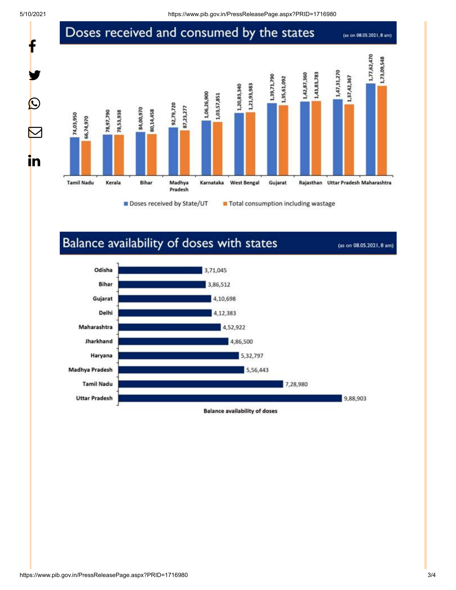t

y.

 $\bigcirc$ 

 $\bm{\nabla}$ 

in

### Doses received and consumed by the states

(as on 08.05.2021, 8 am)



### Balance availability of doses with states

(as on 08.05.2021, 8 am)